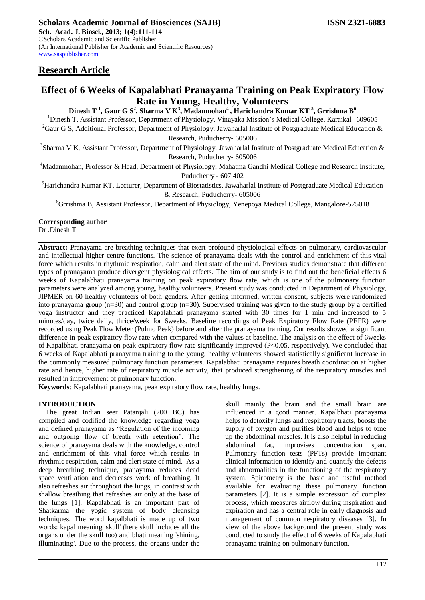# **Research Article**

## **Effect of 6 Weeks of Kapalabhati Pranayama Training on Peak Expiratory Flow Rate in Young, Healthy, Volunteers**

**Dinesh T <sup>1</sup> , Gaur G S<sup>2</sup> , Sharma V K<sup>3</sup> , Madanmohan<sup>4</sup>, Harichandra Kumar KT <sup>5</sup> , Grrishma B<sup>6</sup>**

<sup>1</sup>Dinesh T, Assistant Professor, Department of Physiology, Vinayaka Mission's Medical College, Karaikal- 609605 <sup>2</sup>Gaur G S, Additional Professor, Department of Physiology, Jawaharlal Institute of Postgraduate Medical Education & Research, Puducherry- 605006

<sup>3</sup>Sharma V K, Assistant Professor, Department of Physiology, Jawaharlal Institute of Postgraduate Medical Education &

Research, Puducherry- 605006

<sup>4</sup>Madanmohan, Professor & Head, Department of Physiology, Mahatma Gandhi Medical College and Research Institute, Puducherry - 607 402

<sup>5</sup>Harichandra Kumar KT, Lecturer, Department of Biostatistics, Jawaharlal Institute of Postgraduate Medical Education & Research, Puducherry- 605006

<sup>6</sup>Grrishma B, Assistant Professor, Department of Physiology, Yenepoya Medical College, Mangalore-575018

**Corresponding author**

Dr .Dinesh T

**Abstract:** Pranayama are breathing techniques that exert profound physiological effects on pulmonary, cardiovascular and intellectual higher centre functions. The science of pranayama deals with the control and enrichment of this vital force which results in rhythmic respiration, calm and alert state of the mind. Previous studies demonstrate that different types of pranayama produce divergent physiological effects. The aim of our study is to find out the beneficial effects 6 weeks of Kapalabhati pranayama training on peak expiratory flow rate, which is one of the pulmonary function parameters were analyzed among young, healthy volunteers. Present study was conducted in Department of Physiology, JIPMER on 60 healthy volunteers of both genders. After getting informed, written consent, subjects were randomized into pranayama group (n=30) and control group (n=30). Supervised training was given to the study group by a certified yoga instructor and they practiced Kapalabhati pranayama started with 30 times for 1 min and increased to 5 minutes/day, twice daily, thrice/week for 6weeks. Baseline recordings of Peak Expiratory Flow Rate (PEFR) were recorded using Peak Flow Meter (Pulmo Peak) before and after the pranayama training. Our results showed a significant difference in peak expiratory flow rate when compared with the values at baseline. The analysis on the effect of 6weeks of Kapalbhati pranayama on peak expiratory flow rate significantly improved (P<0.05, respectively). We concluded that 6 weeks of Kapalabhati pranayama training to the young, healthy volunteers showed statistically significant increase in the commonly measured pulmonary function parameters. Kapalabhati pranayama requires breath coordination at higher rate and hence, higher rate of respiratory muscle activity, that produced strengthening of the respiratory muscles and resulted in improvement of pulmonary function.

**Keywords**: Kapalabhati pranayama, peak expiratory flow rate, healthy lungs.

## **INTRODUCTION**

The great Indian seer Patanjali (200 BC) has compiled and codified the knowledge regarding yoga and defined pranayama as "Regulation of the incoming and outgoing flow of breath with retention". The science of pranayama deals with the knowledge, control and enrichment of this vital force which results in rhythmic respiration, calm and alert state of mind. As a deep breathing technique, pranayama reduces dead space ventilation and decreases work of breathing. It also refreshes air throughout the lungs, in contrast with shallow breathing that refreshes air only at the base of the lungs [1]. Kapalabhati is an important part of Shatkarma the yogic system of body cleansing techniques. The word kapalbhati is made up of two words: kapal meaning 'skull' (here skull includes all the organs under the skull too) and bhati meaning 'shining, illuminating'. Due to the process, the organs under the

skull mainly the brain and the small brain are influenced in a good manner. Kapalbhati pranayama helps to detoxify lungs and respiratory tracts, boosts the supply of oxygen and purifies blood and helps to tone up the abdominal muscles. It is also helpful in reducing abdominal fat, improvises concentration span. Pulmonary function tests (PFTs) provide important clinical information to identify and quantify the defects and abnormalities in the functioning of the respiratory system. Spirometry is the basic and useful method available for evaluating these pulmonary function parameters [2]. It is a simple expression of complex process, which measures airflow during inspiration and expiration and has a central role in early diagnosis and management of common respiratory diseases [3]. In view of the above background the present study was conducted to study the effect of 6 weeks of Kapalabhati pranayama training on pulmonary function.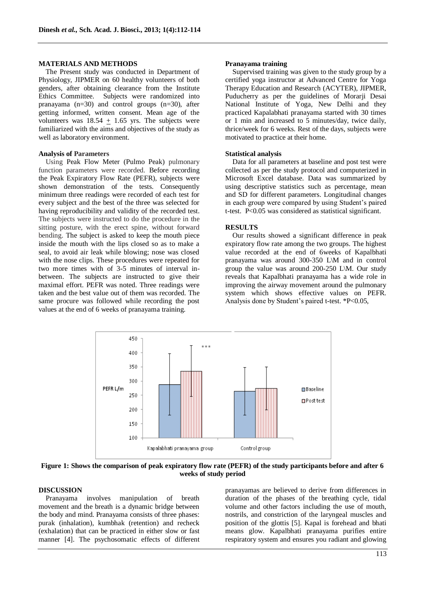#### **MATERIALS AND METHODS**

The Present study was conducted in Department of Physiology, JIPMER on 60 healthy volunteers of both genders, after obtaining clearance from the Institute Ethics Committee. Subjects were randomized into pranayama (n=30) and control groups (n=30), after getting informed, written consent. Mean age of the volunteers was  $18.54 + 1.65$  yrs. The subjects were familiarized with the aims and objectives of the study as well as laboratory environment.

#### **Analysis of Parameters**

Using Peak Flow Meter (Pulmo Peak) pulmonary function parameters were recorded. Before recording the Peak Expiratory Flow Rate (PEFR), subjects were shown demonstration of the tests. Consequently minimum three readings were recorded of each test for every subject and the best of the three was selected for having reproducibility and validity of the recorded test. The subjects were instructed to do the procedure in the sitting posture, with the erect spine, without forward bending. The subject is asked to keep the mouth piece inside the mouth with the lips closed so as to make a seal, to avoid air leak while blowing; nose was closed with the nose clips. These procedures were repeated for two more times with of 3-5 minutes of interval inbetween. The subjects are instructed to give their maximal effort. PEFR was noted. Three readings were taken and the best value out of them was recorded. The same procure was followed while recording the post values at the end of 6 weeks of pranayama training.

#### **Pranayama training**

Supervised training was given to the study group by a certified yoga instructor at Advanced Centre for Yoga Therapy Education and Research (ACYTER), JIPMER, Puducherry as per the guidelines of Morarji Desai National Institute of Yoga, New Delhi and they practiced Kapalabhati pranayama started with 30 times or 1 min and increased to 5 minutes/day, twice daily, thrice/week for 6 weeks. Rest of the days, subjects were motivated to practice at their home.

#### **Statistical analysis**

Data for all parameters at baseline and post test were collected as per the study protocol and computerized in Microsoft Excel database. Data was summarized by using descriptive statistics such as percentage, mean and SD for different parameters. Longitudinal changes in each group were compared by using Student's paired t-test. P<0.05 was considered as statistical significant.

#### **RESULTS**

Our results showed a significant difference in peak expiratory flow rate among the two groups. The highest value recorded at the end of 6weeks of Kapalbhati pranayama was around 300-350 L\M and in control group the value was around 200-250 L\M. Our study reveals that Kapalbhati pranayama has a wide role in improving the airway movement around the pulmonary system which shows effective values on PEFR. Analysis done by Student's paired t-test. \*P<0.05,



**Figure 1: Shows the comparison of peak expiratory flow rate (PEFR) of the study participants before and after 6 weeks of study period**

### **DISCUSSION**

Pranayama involves manipulation of breath movement and the breath is a dynamic bridge between the body and mind. Pranayama consists of three phases: purak (inhalation), kumbhak (retention) and recheck (exhalation) that can be practiced in either slow or fast manner [4]. The psychosomatic effects of different

pranayamas are believed to derive from differences in duration of the phases of the breathing cycle, tidal volume and other factors including the use of mouth, nostrils, and constriction of the laryngeal muscles and position of the glottis [5]. Kapal is forehead and bhati means glow. Kapalbhati pranayama purifies entire respiratory system and ensures you radiant and glowing